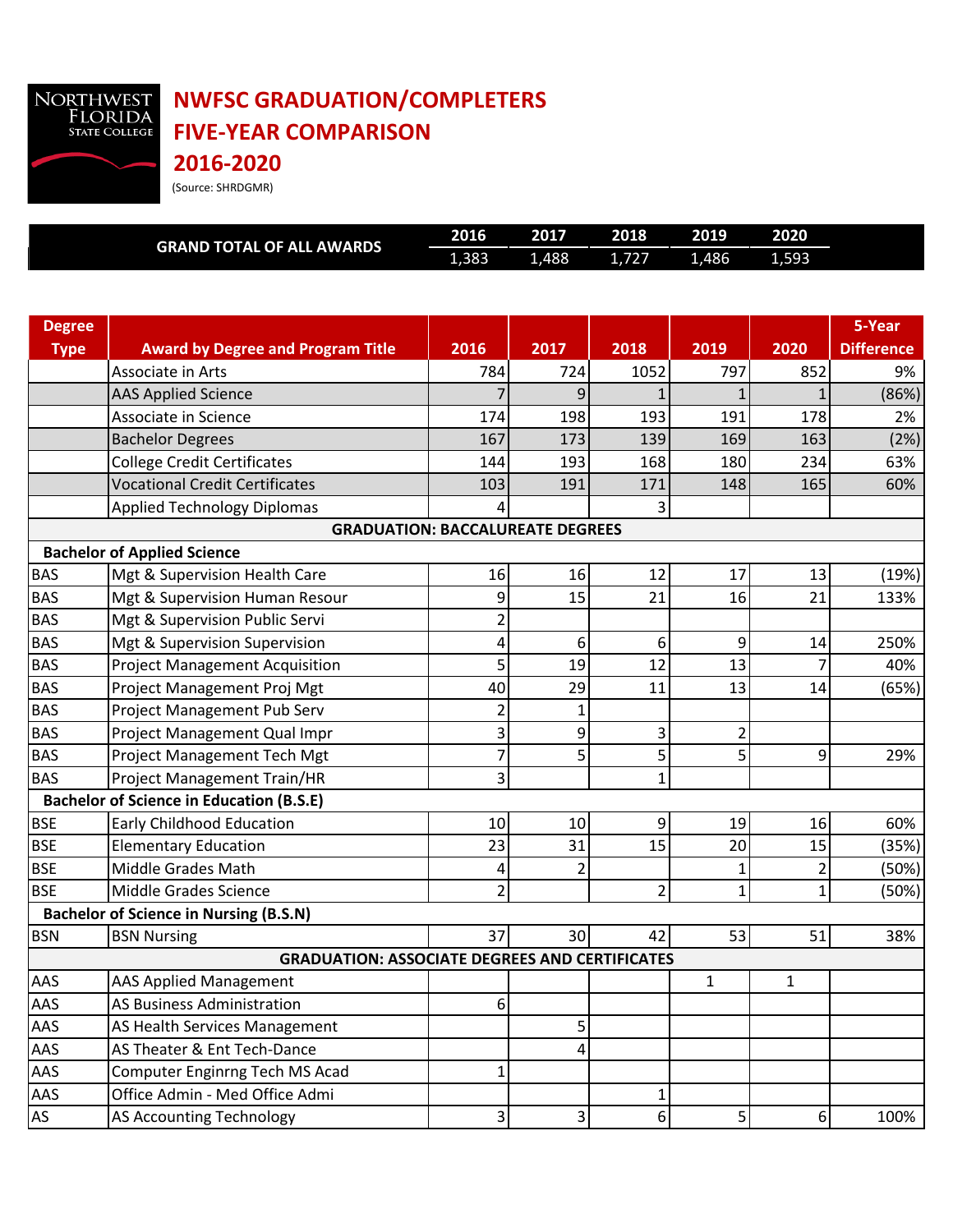

## **NWFSC GRADUATION/COMPLETERS FIVE-YEAR COMPARISON**

**2016-2020** (Source: SHRDGMR)

|                                                       | <b>GRAND TOTAL OF ALL AWARDS</b>                | 2016           | 2017  | 2018           | 2019           | 2020         |                   |  |
|-------------------------------------------------------|-------------------------------------------------|----------------|-------|----------------|----------------|--------------|-------------------|--|
|                                                       |                                                 | 1,383          | 1,488 | 1,727          | 1,486          | 1,593        |                   |  |
|                                                       |                                                 |                |       |                |                |              |                   |  |
|                                                       |                                                 |                |       |                |                |              |                   |  |
| <b>Degree</b>                                         |                                                 |                |       |                |                |              | 5-Year            |  |
| <b>Type</b>                                           | <b>Award by Degree and Program Title</b>        | 2016           | 2017  | 2018           | 2019           | 2020         | <b>Difference</b> |  |
|                                                       | Associate in Arts                               | 784            | 724   | 1052           | 797            | 852          | 9%                |  |
|                                                       | <b>AAS Applied Science</b>                      |                | 9     |                |                |              | (86%)             |  |
|                                                       | Associate in Science                            | 174            | 198   | 193            | 191            | 178          | 2%                |  |
|                                                       | <b>Bachelor Degrees</b>                         | 167            | 173   | 139            | 169            | 163          | (2%)              |  |
|                                                       | <b>College Credit Certificates</b>              | 144            | 193   | 168            | 180            | 234          | 63%               |  |
|                                                       | <b>Vocational Credit Certificates</b>           | 103            | 191   | 171            | 148            | 165          | 60%               |  |
|                                                       | <b>Applied Technology Diplomas</b>              | 4              |       | 3              |                |              |                   |  |
|                                                       | <b>GRADUATION: BACCALUREATE DEGREES</b>         |                |       |                |                |              |                   |  |
|                                                       | <b>Bachelor of Applied Science</b>              |                |       |                |                |              |                   |  |
| <b>BAS</b>                                            | Mgt & Supervision Health Care                   | 16             | 16    | 12             | 17             | 13           | (19%)             |  |
| <b>BAS</b>                                            | Mgt & Supervision Human Resour                  | 9              | 15    | 21             | 16             | 21           | 133%              |  |
| <b>BAS</b>                                            | Mgt & Supervision Public Servi                  | $\overline{c}$ |       |                |                |              |                   |  |
| <b>BAS</b>                                            | Mgt & Supervision Supervision                   | 4              | 6     | 6              | 9              | 14           | 250%              |  |
| <b>BAS</b>                                            | <b>Project Management Acquisition</b>           | 5              | 19    | 12             | 13             | 7            | 40%               |  |
| <b>BAS</b>                                            | Project Management Proj Mgt                     | 40             | 29    | 11             | 13             | 14           | (65%)             |  |
| <b>BAS</b>                                            | Project Management Pub Serv                     | $\overline{2}$ | 1     |                |                |              |                   |  |
| <b>BAS</b>                                            | Project Management Qual Impr                    | 3              | 9     | 3              | $\overline{2}$ |              |                   |  |
| <b>BAS</b>                                            | Project Management Tech Mgt                     | 7              | 5     | 5              | 5              | 9            | 29%               |  |
| <b>BAS</b>                                            | Project Management Train/HR                     | 3              |       | $\mathbf{1}$   |                |              |                   |  |
|                                                       | <b>Bachelor of Science in Education (B.S.E)</b> |                |       |                |                |              |                   |  |
| <b>BSE</b>                                            | Early Childhood Education                       | 10             | 10    | 9              | 19             | 16           | 60%               |  |
| <b>BSE</b>                                            | <b>Elementary Education</b>                     | 23             | 31    | 15             | 20             | 15           | (35%)             |  |
| <b>BSE</b>                                            | Middle Grades Math                              | 4              | 2     |                | $\mathbf{1}$   | 2            | (50%)             |  |
| <b>BSE</b>                                            | Middle Grades Science                           | $\overline{c}$ |       | $\overline{2}$ | $\mathbf{1}$   | 1            | (50%)             |  |
|                                                       | <b>Bachelor of Science in Nursing (B.S.N)</b>   |                |       |                |                |              |                   |  |
| <b>BSN</b>                                            | <b>BSN Nursing</b>                              | 37             | 30    | 42             | 53             | 51           | 38%               |  |
| <b>GRADUATION: ASSOCIATE DEGREES AND CERTIFICATES</b> |                                                 |                |       |                |                |              |                   |  |
| AAS                                                   | <b>AAS Applied Management</b>                   |                |       |                | 1              | $\mathbf{1}$ |                   |  |
| AAS                                                   | AS Business Administration                      | 6              |       |                |                |              |                   |  |
| AAS                                                   | AS Health Services Management                   |                | 5     |                |                |              |                   |  |
| AAS                                                   | AS Theater & Ent Tech-Dance                     |                | 4     |                |                |              |                   |  |
| AAS                                                   | Computer Enginrng Tech MS Acad                  | 1              |       |                |                |              |                   |  |
| AAS                                                   | Office Admin - Med Office Admi                  |                |       | 1              |                |              |                   |  |
| AS                                                    | <b>AS Accounting Technology</b>                 | 3              | 3     | 6              | 5              | 6            | 100%              |  |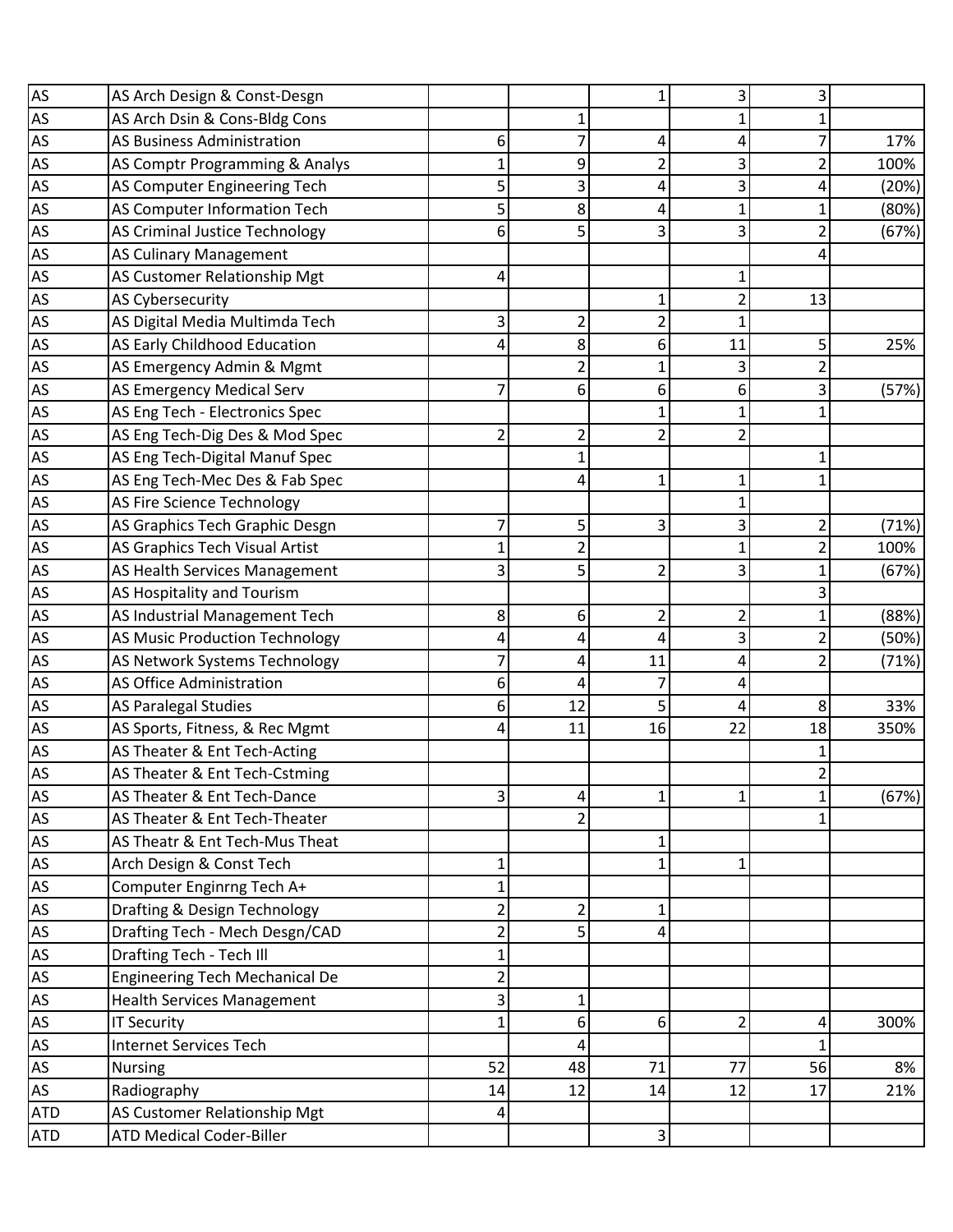| AS                                    | AS Arch Design & Const-Desgn          |                         |                |    | 3              | 3              |       |
|---------------------------------------|---------------------------------------|-------------------------|----------------|----|----------------|----------------|-------|
| <b>AS</b>                             | AS Arch Dsin & Cons-Bldg Cons         |                         | 1              |    | 1              |                |       |
| AS                                    | <b>AS Business Administration</b>     | 6                       | 7              |    | 4              |                | 17%   |
| AS                                    | AS Comptr Programming & Analys        |                         | 9              |    | 3              | 2              | 100%  |
| $\frac{\overline{AS}}{\overline{AS}}$ | AS Computer Engineering Tech          | 5                       | $\overline{3}$ | 4  | 3              | 4              | (20%) |
|                                       | AS Computer Information Tech          | 5                       | 8              | 4  | 1              | 1              | (80%) |
| $\frac{\text{AS}}{\text{AS}}$         | AS Criminal Justice Technology        | 6                       | 5 <sup>1</sup> |    | 3              | 2              | (67%) |
|                                       | <b>AS Culinary Management</b>         |                         |                |    |                | 4              |       |
| $\overline{AS}$                       | AS Customer Relationship Mgt          | 4                       |                |    | 1              |                |       |
|                                       | AS Cybersecurity                      |                         |                |    | 2              | 13             |       |
| $\frac{\text{AS}}{\text{AS}}$         | AS Digital Media Multimda Tech        | 3                       | 2              | 2  | 1              |                |       |
|                                       | AS Early Childhood Education          | 4                       | 8              | 6  | 11             | 5              | 25%   |
| $\frac{\text{AS}}{\text{AS}}$         | AS Emergency Admin & Mgmt             |                         | $\overline{2}$ |    | 3              |                |       |
| AS                                    | AS Emergency Medical Serv             | 7                       | $6 \mid$       | 6  | 6              | 3              | (57%) |
| AS                                    | AS Eng Tech - Electronics Spec        |                         |                |    | 1              |                |       |
| $\overline{AS}$                       | AS Eng Tech-Dig Des & Mod Spec        | $\overline{2}$          | $\overline{2}$ | 2  | $\overline{2}$ |                |       |
| <b>AS</b>                             | AS Eng Tech-Digital Manuf Spec        |                         | $\mathbf{1}$   |    |                | 1              |       |
| <b>AS</b>                             | AS Eng Tech-Mec Des & Fab Spec        |                         | 4              | 1  | 1              | 1              |       |
| AS                                    | AS Fire Science Technology            |                         |                |    | 1              |                |       |
| $\overline{AS}$                       | AS Graphics Tech Graphic Desgn        | 7                       | 5 <sup>1</sup> | 3  | 3              | 2              | (71%) |
| <b>AS</b>                             | AS Graphics Tech Visual Artist        | $\mathbf{1}$            | $\overline{2}$ |    | 1              | $\overline{2}$ | 100%  |
| <b>AS</b>                             | AS Health Services Management         | 3                       | 5 <sup>1</sup> |    | 3              |                | (67%) |
| AS                                    | AS Hospitality and Tourism            |                         |                |    |                | 3              |       |
| $\frac{\text{AS}}{\text{AS}}$         | AS Industrial Management Tech         | 8                       | 6              | 2  | $\overline{2}$ | 1              | (88%) |
|                                       | <b>AS Music Production Technology</b> | 4                       | 4              | 4  | 3              | 2              | (50%) |
| $\frac{\text{AS}}{\text{AS}}$         | AS Network Systems Technology         | 7                       | 4              | 11 | 4              | $\overline{2}$ | (71%) |
|                                       | AS Office Administration              | 6                       | 4              |    | 4              |                |       |
| AS                                    | AS Paralegal Studies                  | 6                       | 12             | 5  | 4              | 8              | 33%   |
| $\frac{\text{AS}}{\text{AS}}$         | AS Sports, Fitness, & Rec Mgmt        | 4                       | 11             | 16 | 22             | 18             | 350%  |
|                                       | AS Theater & Ent Tech-Acting          |                         |                |    |                | 1              |       |
| <b>AS</b>                             | AS Theater & Ent Tech-Cstming         |                         |                |    |                | 2              |       |
| AS                                    | AS Theater & Ent Tech-Dance           | 3                       | 4              |    | 1              | 1              | (67%) |
|                                       | AS Theater & Ent Tech-Theater         |                         | $\overline{2}$ |    |                |                |       |
|                                       | AS Theatr & Ent Tech-Mus Theat        |                         |                |    |                |                |       |
| AS<br>AS<br>AS                        | Arch Design & Const Tech              | 1                       |                |    | 1              |                |       |
| AS                                    | Computer Enginrng Tech A+             | 1                       |                |    |                |                |       |
| <b>AS</b>                             | Drafting & Design Technology          | 2                       | $\overline{2}$ |    |                |                |       |
| AS<br>AS<br>AS                        | Drafting Tech - Mech Desgn/CAD        | $\overline{2}$          | 5 <sup>1</sup> | 4  |                |                |       |
|                                       | Drafting Tech - Tech Ill              | 1                       |                |    |                |                |       |
|                                       | <b>Engineering Tech Mechanical De</b> | $\overline{\mathbf{c}}$ |                |    |                |                |       |
| AS                                    | <b>Health Services Management</b>     | 3                       | $\mathbf{1}$   |    |                |                |       |
| $\overline{AS}$                       | <b>IT Security</b>                    | 1                       | 6              | 6  | 2              | 4              | 300%  |
| $\frac{AS}{AS}$                       | Internet Services Tech                |                         | 4              |    |                | 1              |       |
|                                       | <b>Nursing</b>                        | 52                      | 48             | 71 | 77             | 56             | 8%    |
| $\overline{AS}$                       | Radiography                           | 14                      | 12             | 14 | 12             | 17             | 21%   |
| <b>ATD</b>                            | AS Customer Relationship Mgt          | 4                       |                |    |                |                |       |
| <b>ATD</b>                            | <b>ATD Medical Coder-Biller</b>       |                         |                | 3  |                |                |       |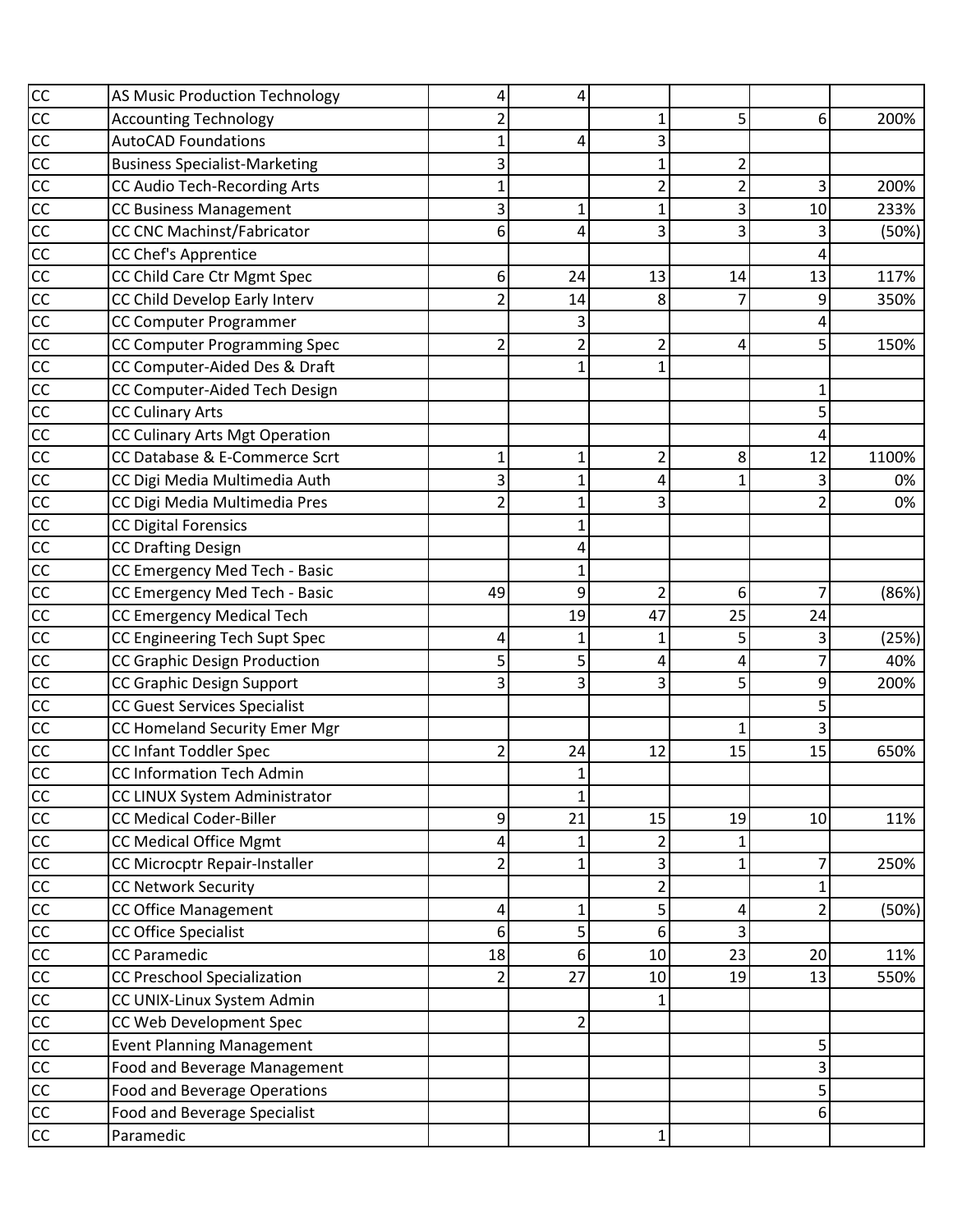|                             | <b>AS Music Production Technology</b> | 4              | 4                       |    |                |                         |       |
|-----------------------------|---------------------------------------|----------------|-------------------------|----|----------------|-------------------------|-------|
|                             | <b>Accounting Technology</b>          | 2              |                         |    | 5              | 6                       | 200%  |
|                             | <b>AutoCAD Foundations</b>            | 1              | 4                       | 3  |                |                         |       |
|                             | <b>Business Specialist-Marketing</b>  | 3              |                         |    | 2              |                         |       |
|                             | <b>CC Audio Tech-Recording Arts</b>   | $\mathbf{1}$   |                         | 2  | $\overline{2}$ | 3                       | 200%  |
|                             | <b>CC Business Management</b>         | 3              | 1                       |    | 3              | 10                      | 233%  |
|                             | <b>CC CNC Machinst/Fabricator</b>     | 6              | 4                       | 3  | 3              | 3                       | (50%) |
|                             | CC Chef's Apprentice                  |                |                         |    |                | 4                       |       |
|                             | CC Child Care Ctr Mgmt Spec           | 6              | 24                      | 13 | 14             | 13                      | 117%  |
|                             | CC Child Develop Early Interv         | $\overline{2}$ | 14                      | 8  |                | 9                       | 350%  |
|                             | CC Computer Programmer                |                | 3                       |    |                | 4                       |       |
|                             | CC Computer Programming Spec          | $\overline{2}$ | $\overline{2}$          |    | 4              | 5                       | 150%  |
|                             | CC Computer-Aided Des & Draft         |                | 1                       |    |                |                         |       |
|                             | CC Computer-Aided Tech Design         |                |                         |    |                | 1                       |       |
| $\frac{1}{2}$               | <b>CC Culinary Arts</b>               |                |                         |    |                | 5                       |       |
|                             | CC Culinary Arts Mgt Operation        |                |                         |    |                | 4                       |       |
|                             | CC Database & E-Commerce Scrt         | 1              | 1                       | 2  | 8              | 12                      | 1100% |
|                             | CC Digi Media Multimedia Auth         | 3              | 1                       | 4  |                | 3                       | 0%    |
| 8 8 8 8 8 8 8 8 8 8 8 8 8 8 | CC Digi Media Multimedia Pres         | $\overline{2}$ | $\mathbf{1}$            | 3  |                | $\overline{\mathbf{c}}$ | 0%    |
|                             | <b>CC Digital Forensics</b>           |                | 1                       |    |                |                         |       |
|                             | <b>CC Drafting Design</b>             |                | 4                       |    |                |                         |       |
|                             | CC Emergency Med Tech - Basic         |                | 1                       |    |                |                         |       |
|                             | CC Emergency Med Tech - Basic         | 49             | 9                       | 2  | 6              | 7                       | (86%) |
|                             | <b>CC Emergency Medical Tech</b>      |                | 19                      | 47 | 25             | 24                      |       |
|                             | CC Engineering Tech Supt Spec         | 4              | 1                       |    | 5              | 3                       | (25%) |
|                             | <b>CC Graphic Design Production</b>   | 5              | 5                       | 4  | 4              | $\overline{7}$          | 40%   |
|                             | CC Graphic Design Support             | 3              | $\overline{\mathbf{3}}$ | 3  | 5              | 9                       | 200%  |
|                             | <b>CC Guest Services Specialist</b>   |                |                         |    |                | 5                       |       |
|                             | CC Homeland Security Emer Mgr         |                |                         |    | 1              | 3                       |       |
|                             | CC Infant Toddler Spec                | $\overline{2}$ | 24                      | 12 | 15             | 15                      | 650%  |
| $\overline{cc}$             | CC Information Tech Admin             |                | 1                       |    |                |                         |       |
|                             | CC LINUX System Administrator         |                | 1                       |    |                |                         |       |
|                             | <b>CC Medical Coder-Biller</b>        | 9              | 21                      | 15 | 19             | 10                      | 11%   |
| 8 8 8 8 8 8 8 8 8 8         | <b>CC Medical Office Mgmt</b>         | 4              | 1                       | 2  |                |                         |       |
|                             | CC Microcptr Repair-Installer         | $\overline{2}$ | $\mathbf 1$             | 3  | 1              | 7                       | 250%  |
|                             | <b>CC Network Security</b>            |                |                         | 2  |                | $\mathbf{1}$            |       |
|                             | <b>CC Office Management</b>           | 4              | 1                       | 5  | 4              | $\overline{2}$          | (50%) |
|                             | CC Office Specialist                  | 6              | 5                       | 6  | 3              |                         |       |
|                             | <b>CC Paramedic</b>                   | 18             | 6 <sup>1</sup>          | 10 | 23             | 20                      | 11%   |
|                             | <b>CC Preschool Specialization</b>    | $\overline{2}$ | 27                      | 10 | 19             | 13                      | 550%  |
|                             | CC UNIX-Linux System Admin            |                |                         |    |                |                         |       |
|                             | CC Web Development Spec               |                | 2                       |    |                |                         |       |
| $\frac{1}{2}$               | <b>Event Planning Management</b>      |                |                         |    |                | 5                       |       |
|                             | Food and Beverage Management          |                |                         |    |                | 3                       |       |
|                             | <b>Food and Beverage Operations</b>   |                |                         |    |                | 5                       |       |
|                             | Food and Beverage Specialist          |                |                         |    |                | 6                       |       |
| $\overline{cc}$             | Paramedic                             |                |                         | 1  |                |                         |       |